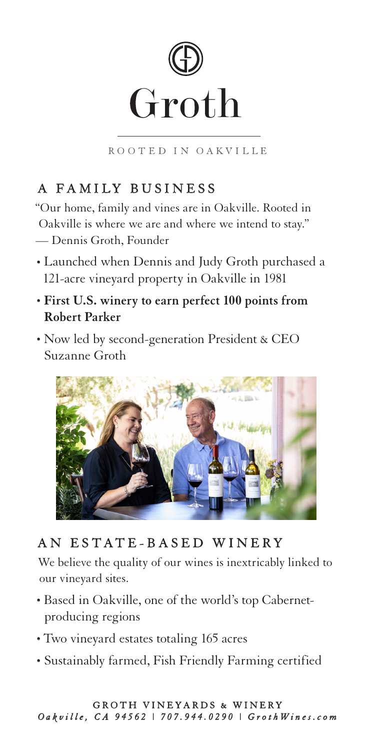

ROOTED IN OAKVILLE

# A FAMILY BUSINESS

"Our home, family and vines are in Oakville. Rooted in Oakville is where we are and where we intend to stay." — Dennis Groth, Founder

- Launched when Dennis and Judy Groth purchased a 121-acre vineyard property in Oakville in 1981
- **First U.S. winery to earn perfect 100 points from Robert Parker**
- Now led by second-generation President & CEO Suzanne Groth



# AN ESTATE-BASED WINERY

We believe the quality of our wines is inextricably linked to our vineyard sites.

- Based in Oakville, one of the world's top Cabernetproducing regions
- Two vineyard estates totaling 165 acres
- Sustainably farmed, Fish Friendly Farming certified

### GROTH VINEYARDS & WINERY *O a k v i l l e , C A 9 4 5 6 2 | 7 0 7 . 9 4 4 . 0 2 9 0 | G r o t h W i n e s . c o m*